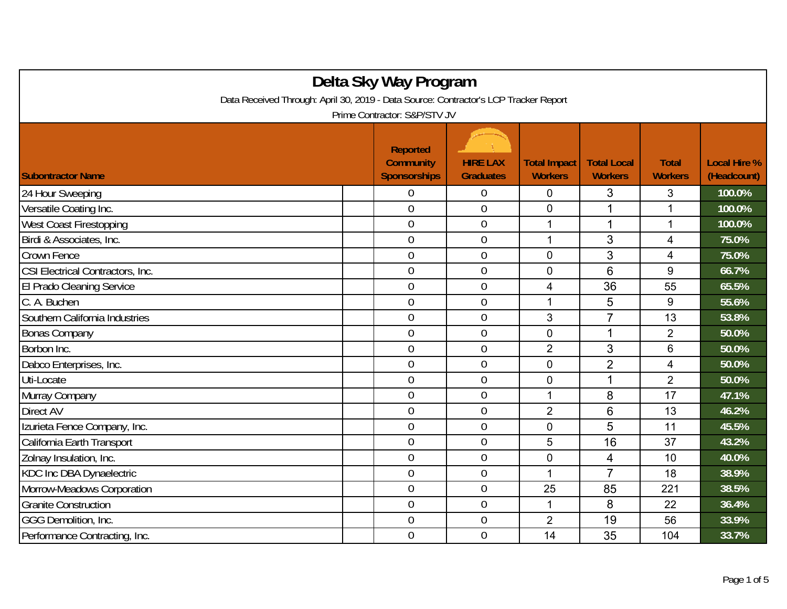| Delta Sky Way Program                                                                |                                                            |                                     |                                       |                                      |                                |                                    |  |  |  |
|--------------------------------------------------------------------------------------|------------------------------------------------------------|-------------------------------------|---------------------------------------|--------------------------------------|--------------------------------|------------------------------------|--|--|--|
| Data Received Through: April 30, 2019 - Data Source: Contractor's LCP Tracker Report |                                                            |                                     |                                       |                                      |                                |                                    |  |  |  |
| Prime Contractor: S&P/STV JV                                                         |                                                            |                                     |                                       |                                      |                                |                                    |  |  |  |
| <b>Subontractor Name</b>                                                             | <b>Reported</b><br><b>Community</b><br><b>Sponsorships</b> | <b>HIRE LAX</b><br><b>Graduates</b> | <b>Total Impact</b><br><b>Workers</b> | <b>Total Local</b><br><b>Workers</b> | <b>Total</b><br><b>Workers</b> | <b>Local Hire %</b><br>(Headcount) |  |  |  |
| 24 Hour Sweeping                                                                     | 0                                                          | $\overline{0}$                      | $\mathbf 0$                           | 3                                    | 3                              | 100.0%                             |  |  |  |
| Versatile Coating Inc.                                                               | $\overline{0}$                                             | $\boldsymbol{0}$                    | $\mathbf 0$                           | 1                                    | 1                              | 100.0%                             |  |  |  |
| West Coast Firestopping                                                              | $\overline{0}$                                             | $\overline{0}$                      | 1                                     | 1                                    | $\mathbf{1}$                   | 100.0%                             |  |  |  |
| Birdi & Associates, Inc.                                                             | $\overline{0}$                                             | $\mathbf 0$                         | 1                                     | 3                                    | 4                              | 75.0%                              |  |  |  |
| Crown Fence                                                                          | $\overline{0}$                                             | $\overline{0}$                      | $\overline{0}$                        | 3                                    | 4                              | 75.0%                              |  |  |  |
| CSI Electrical Contractors, Inc.                                                     | $\overline{0}$                                             | $\overline{0}$                      | $\overline{0}$                        | $6\phantom{1}6$                      | 9                              | 66.7%                              |  |  |  |
| El Prado Cleaning Service                                                            | $\overline{0}$                                             | $\boldsymbol{0}$                    | 4                                     | 36                                   | 55                             | 65.5%                              |  |  |  |
| C. A. Buchen                                                                         | $\overline{0}$                                             | $\overline{0}$                      | 1                                     | 5                                    | 9                              | 55.6%                              |  |  |  |
| Southern California Industries                                                       | $\overline{0}$                                             | $\overline{0}$                      | 3                                     | $\overline{7}$                       | 13                             | 53.8%                              |  |  |  |
| <b>Bonas Company</b>                                                                 | $\overline{0}$                                             | $\overline{0}$                      | $\overline{0}$                        | $\mathbf{1}$                         | $\overline{2}$                 | 50.0%                              |  |  |  |
| Borbon Inc.                                                                          | $\overline{0}$                                             | $\overline{0}$                      | $\overline{2}$                        | 3                                    | 6                              | 50.0%                              |  |  |  |
| Dabco Enterprises, Inc.                                                              | $\overline{0}$                                             | $\overline{0}$                      | $\mathbf 0$                           | $\overline{2}$                       | 4                              | 50.0%                              |  |  |  |
| Uti-Locate                                                                           | $\overline{0}$                                             | $\boldsymbol{0}$                    | $\mathbf 0$                           | 1                                    | $\overline{2}$                 | 50.0%                              |  |  |  |
| Murray Company                                                                       | $\overline{0}$                                             | $\overline{0}$                      | 1                                     | 8                                    | 17                             | 47.1%                              |  |  |  |
| Direct AV                                                                            | $\overline{0}$                                             | $\mathbf 0$                         | $\overline{2}$                        | 6                                    | 13                             | 46.2%                              |  |  |  |
| Izurieta Fence Company, Inc.                                                         | $\overline{0}$                                             | $\overline{0}$                      | $\overline{0}$                        | 5                                    | 11                             | 45.5%                              |  |  |  |
| California Earth Transport                                                           | $\overline{0}$                                             | $\overline{0}$                      | 5                                     | 16                                   | 37                             | 43.2%                              |  |  |  |
| Zolnay Insulation, Inc.                                                              | $\overline{0}$                                             | $\boldsymbol{0}$                    | 0                                     | 4                                    | 10                             | 40.0%                              |  |  |  |
| KDC Inc DBA Dynaelectric                                                             | $\overline{0}$                                             | $\overline{0}$                      | 1                                     | $\overline{7}$                       | 18                             | 38.9%                              |  |  |  |
| Morrow-Meadows Corporation                                                           | $\boldsymbol{0}$                                           | $\boldsymbol{0}$                    | 25                                    | 85                                   | 221                            | 38.5%                              |  |  |  |
| <b>Granite Construction</b>                                                          | $\overline{0}$                                             | $\overline{0}$                      | $\mathbf 1$                           | 8                                    | 22                             | 36.4%                              |  |  |  |
| GGG Demolition, Inc.                                                                 | $\overline{0}$                                             | $\boldsymbol{0}$                    | $\overline{2}$                        | 19                                   | 56                             | 33.9%                              |  |  |  |
| Performance Contracting, Inc.                                                        | $\overline{0}$                                             | $\overline{0}$                      | 14                                    | 35                                   | 104                            | 33.7%                              |  |  |  |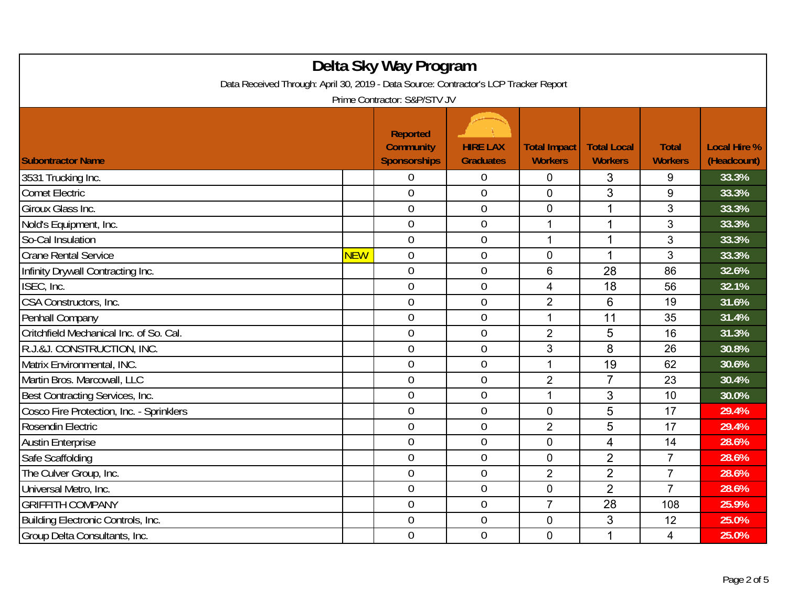| Delta Sky Way Program<br>Data Received Through: April 30, 2019 - Data Source: Contractor's LCP Tracker Report<br>Prime Contractor: S&P/STV JV |            |                                                            |                                     |                                       |                                      |                                |                                    |  |
|-----------------------------------------------------------------------------------------------------------------------------------------------|------------|------------------------------------------------------------|-------------------------------------|---------------------------------------|--------------------------------------|--------------------------------|------------------------------------|--|
| <b>Subontractor Name</b>                                                                                                                      |            | <b>Reported</b><br><b>Community</b><br><b>Sponsorships</b> | <b>HIRE LAX</b><br><b>Graduates</b> | <b>Total Impact</b><br><b>Workers</b> | <b>Total Local</b><br><b>Workers</b> | <b>Total</b><br><b>Workers</b> | <b>Local Hire %</b><br>(Headcount) |  |
| 3531 Trucking Inc.                                                                                                                            |            | 0                                                          | $\boldsymbol{0}$                    | $\mathbf 0$                           | 3                                    | 9                              | 33.3%                              |  |
| Comet Electric                                                                                                                                |            | $\overline{0}$                                             | $\overline{0}$                      | $\overline{0}$                        | 3                                    | 9                              | 33.3%                              |  |
| Giroux Glass Inc.                                                                                                                             |            | $\mathbf 0$                                                | $\boldsymbol{0}$                    | $\overline{0}$                        | 1                                    | 3                              | 33.3%                              |  |
| Nold's Equipment, Inc.                                                                                                                        |            | $\overline{0}$                                             | $\boldsymbol{0}$                    | $\mathbf{1}$                          | 1                                    | 3                              | 33.3%                              |  |
| So-Cal Insulation                                                                                                                             |            | $\overline{0}$                                             | $\mathbf 0$                         | 1                                     | 1                                    | 3                              | 33.3%                              |  |
| <b>Crane Rental Service</b>                                                                                                                   | <b>NEW</b> | $\overline{0}$                                             | $\boldsymbol{0}$                    | $\overline{0}$                        | 1                                    | 3                              | 33.3%                              |  |
| Infinity Drywall Contracting Inc.                                                                                                             |            | $\mathbf 0$                                                | $\mathbf 0$                         | 6                                     | 28                                   | 86                             | 32.6%                              |  |
| ISEC, Inc.                                                                                                                                    |            | $\overline{0}$                                             | $\mathbf 0$                         | 4                                     | 18                                   | 56                             | 32.1%                              |  |
| CSA Constructors, Inc.                                                                                                                        |            | $\overline{0}$                                             | $\boldsymbol{0}$                    | $\overline{2}$                        | 6                                    | 19                             | 31.6%                              |  |
| Penhall Company                                                                                                                               |            | $\overline{0}$                                             | $\boldsymbol{0}$                    | $\mathbf{1}$                          | 11                                   | 35                             | 31.4%                              |  |
| Critchfield Mechanical Inc. of So. Cal.                                                                                                       |            | $\overline{0}$                                             | $\mathbf 0$                         | $\overline{2}$                        | 5                                    | 16                             | 31.3%                              |  |
| R.J.&J. CONSTRUCTION, INC.                                                                                                                    |            | $\boldsymbol{0}$                                           | $\mathbf 0$                         | 3                                     | 8                                    | 26                             | 30.8%                              |  |
| Matrix Environmental, INC.                                                                                                                    |            | $\overline{0}$                                             | $\overline{0}$                      | 1                                     | 19                                   | 62                             | 30.6%                              |  |
| Martin Bros. Marcowall, LLC                                                                                                                   |            | $\overline{0}$                                             | $\mathbf 0$                         | $\overline{2}$                        | $\overline{7}$                       | 23                             | 30.4%                              |  |
| Best Contracting Services, Inc.                                                                                                               |            | $\overline{0}$                                             | $\mathbf 0$                         | 1                                     | 3                                    | 10                             | 30.0%                              |  |
| Cosco Fire Protection, Inc. - Sprinklers                                                                                                      |            | $\overline{0}$                                             | $\boldsymbol{0}$                    | $\mathbf 0$                           | 5                                    | 17                             | 29.4%                              |  |
| Rosendin Electric                                                                                                                             |            | $\overline{0}$                                             | $\mathbf 0$                         | $\overline{2}$                        | 5                                    | 17                             | 29.4%                              |  |
| <b>Austin Enterprise</b>                                                                                                                      |            | $\overline{0}$                                             | $\mathbf 0$                         | $\mathbf 0$                           | 4                                    | 14                             | 28.6%                              |  |
| Safe Scaffolding                                                                                                                              |            | $\overline{0}$                                             | $\overline{0}$                      | $\overline{0}$                        | $\overline{2}$                       | $\overline{7}$                 | 28.6%                              |  |
| The Culver Group, Inc.                                                                                                                        |            | $\overline{0}$                                             | $\mathbf 0$                         | $\overline{2}$                        | $\overline{2}$                       | $\overline{7}$                 | 28.6%                              |  |
| Universal Metro, Inc.                                                                                                                         |            | $\overline{0}$                                             | $\mathbf 0$                         | $\overline{0}$                        | $\overline{2}$                       | $\overline{7}$                 | 28.6%                              |  |
| <b>GRIFFITH COMPANY</b>                                                                                                                       |            | $\overline{0}$                                             | $\overline{0}$                      | $\overline{7}$                        | 28                                   | 108                            | 25.9%                              |  |
| Building Electronic Controls, Inc.                                                                                                            |            | $\boldsymbol{0}$                                           | $\boldsymbol{0}$                    | $\mathbf 0$                           | 3                                    | 12                             | 25.0%                              |  |
| Group Delta Consultants, Inc.                                                                                                                 |            | $\overline{0}$                                             | $\mathbf 0$                         | $\mathbf 0$                           | 1                                    | 4                              | 25.0%                              |  |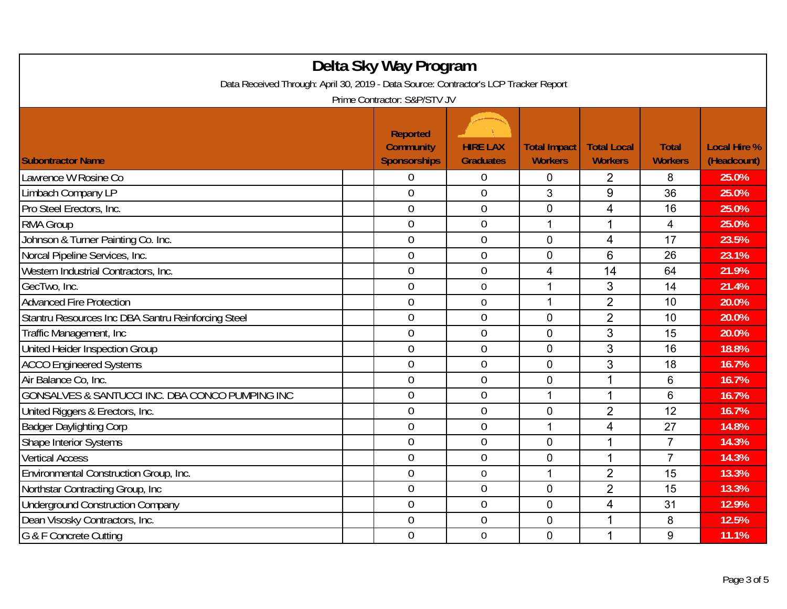| Delta Sky Way Program<br>Data Received Through: April 30, 2019 - Data Source: Contractor's LCP Tracker Report<br>Prime Contractor: S&P/STV JV |                                                            |                                     |                                       |                                      |                                |                                    |  |  |
|-----------------------------------------------------------------------------------------------------------------------------------------------|------------------------------------------------------------|-------------------------------------|---------------------------------------|--------------------------------------|--------------------------------|------------------------------------|--|--|
| <b>Subontractor Name</b>                                                                                                                      | <b>Reported</b><br><b>Community</b><br><b>Sponsorships</b> | <b>HIRE LAX</b><br><b>Graduates</b> | <b>Total Impact</b><br><b>Workers</b> | <b>Total Local</b><br><b>Workers</b> | <b>Total</b><br><b>Workers</b> | <b>Local Hire %</b><br>(Headcount) |  |  |
| Lawrence W Rosine Co                                                                                                                          | 0                                                          | $\boldsymbol{0}$                    | 0                                     | 2                                    | 8                              | 25.0%                              |  |  |
| Limbach Company LP                                                                                                                            | $\overline{0}$                                             | $\overline{0}$                      | 3                                     | 9                                    | 36                             | 25.0%                              |  |  |
| Pro Steel Erectors, Inc.                                                                                                                      | $\mathbf 0$                                                | $\boldsymbol{0}$                    | $\overline{0}$                        | $\overline{\mathcal{A}}$             | 16                             | 25.0%                              |  |  |
| <b>RMA Group</b>                                                                                                                              | $\mathbf 0$                                                | $\boldsymbol{0}$                    | 1                                     | 1                                    | 4                              | 25.0%                              |  |  |
| Johnson & Turner Painting Co. Inc.                                                                                                            | $\overline{0}$                                             | $\overline{0}$                      | $\mathbf 0$                           | 4                                    | 17                             | 23.5%                              |  |  |
| Norcal Pipeline Services, Inc.                                                                                                                | $\mathbf 0$                                                | $\mathbf 0$                         | $\mathbf 0$                           | 6                                    | 26                             | 23.1%                              |  |  |
| Western Industrial Contractors, Inc.                                                                                                          | $\overline{0}$                                             | $\overline{0}$                      | 4                                     | 14                                   | 64                             | 21.9%                              |  |  |
| GecTwo, Inc.                                                                                                                                  | $\overline{0}$                                             | $\mathbf 0$                         | 1                                     | 3                                    | 14                             | 21.4%                              |  |  |
| <b>Advanced Fire Protection</b>                                                                                                               | $\mathbf 0$                                                | $\overline{0}$                      | 1                                     | $\overline{2}$                       | 10                             | 20.0%                              |  |  |
| Stantru Resources Inc DBA Santru Reinforcing Steel                                                                                            | $\overline{0}$                                             | $\mathbf 0$                         | $\mathbf 0$                           | $\overline{2}$                       | 10                             | 20.0%                              |  |  |
| Traffic Management, Inc.                                                                                                                      | $\overline{0}$                                             | $\overline{0}$                      | $\overline{0}$                        | 3                                    | 15                             | 20.0%                              |  |  |
| United Heider Inspection Group                                                                                                                | $\mathbf 0$                                                | $\mathbf 0$                         | $\mathbf 0$                           | 3                                    | 16                             | 18.8%                              |  |  |
| <b>ACCO Engineered Systems</b>                                                                                                                | $\overline{0}$                                             | $\overline{0}$                      | $\mathbf 0$                           | 3                                    | 18                             | 16.7%                              |  |  |
| Air Balance Co, Inc.                                                                                                                          | $\overline{0}$                                             | $\mathbf 0$                         | $\mathbf 0$                           | 1                                    | 6                              | 16.7%                              |  |  |
| GONSALVES & SANTUCCI INC. DBA CONCO PUMPING INC                                                                                               | $\overline{0}$                                             | $\mathbf 0$                         | 1                                     | 1                                    | 6                              | 16.7%                              |  |  |
| United Riggers & Erectors, Inc.                                                                                                               | $\mathbf 0$                                                | $\boldsymbol{0}$                    | $\mathbf 0$                           | $\overline{2}$                       | 12                             | 16.7%                              |  |  |
| <b>Badger Daylighting Corp</b>                                                                                                                | $\mathbf 0$                                                | $\mathbf 0$                         | 1                                     | 4                                    | 27                             | 14.8%                              |  |  |
| <b>Shape Interior Systems</b>                                                                                                                 | $\overline{0}$                                             | $\overline{0}$                      | $\mathbf 0$                           | 1                                    | $\overline{7}$                 | 14.3%                              |  |  |
| <b>Vertical Access</b>                                                                                                                        | $\overline{0}$                                             | $\overline{0}$                      | $\overline{0}$                        | $\mathbf{1}$                         | $\overline{7}$                 | 14.3%                              |  |  |
| Environmental Construction Group, Inc.                                                                                                        | $\overline{0}$                                             | $0\,$                               | 1                                     | $\overline{2}$                       | 15                             | 13.3%                              |  |  |
| Northstar Contracting Group, Inc.                                                                                                             | $\boldsymbol{0}$                                           | $\overline{0}$                      | $\overline{0}$                        | $\overline{2}$                       | 15                             | 13.3%                              |  |  |
| <b>Underground Construction Company</b>                                                                                                       | $\overline{0}$                                             | $\mathbf 0$                         | $\overline{0}$                        | $\overline{4}$                       | 31                             | 12.9%                              |  |  |
| Dean Visosky Contractors, Inc.                                                                                                                | $\overline{0}$                                             | $\mathbf 0$                         | $\mathbf 0$                           | 1                                    | 8                              | 12.5%                              |  |  |
| G & F Concrete Cutting                                                                                                                        | $\mathbf 0$                                                | $\mathbf 0$                         | $\mathbf 0$                           | 1                                    | 9                              | 11.1%                              |  |  |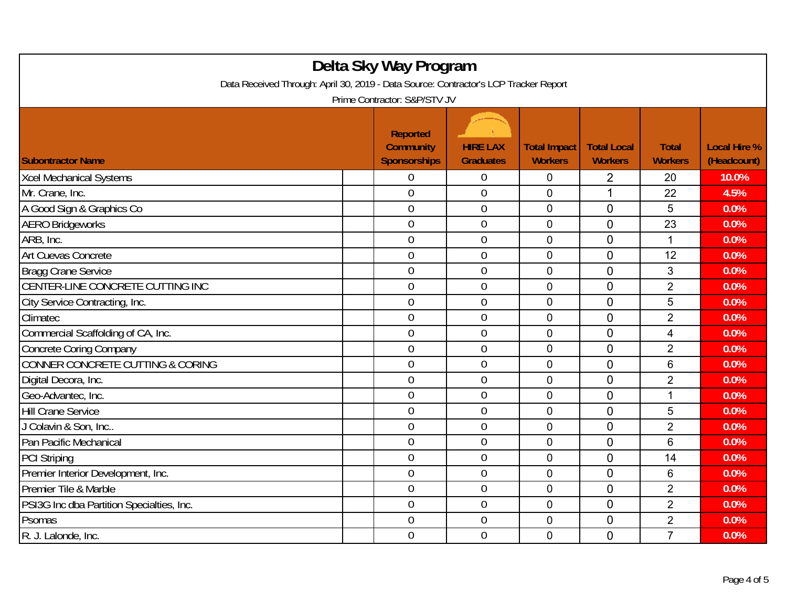| Delta Sky Way Program<br>Data Received Through: April 30, 2019 - Data Source: Contractor's LCP Tracker Report<br>Prime Contractor: S&P/STV JV |  |                                                            |                                     |                                       |                                      |                                |                                    |  |
|-----------------------------------------------------------------------------------------------------------------------------------------------|--|------------------------------------------------------------|-------------------------------------|---------------------------------------|--------------------------------------|--------------------------------|------------------------------------|--|
| <b>Subontractor Name</b>                                                                                                                      |  | <b>Reported</b><br><b>Community</b><br><b>Sponsorships</b> | <b>HIRE LAX</b><br><b>Graduates</b> | <b>Total Impact</b><br><b>Workers</b> | <b>Total Local</b><br><b>Workers</b> | <b>Total</b><br><b>Workers</b> | <b>Local Hire %</b><br>(Headcount) |  |
| <b>Xcel Mechanical Systems</b>                                                                                                                |  | 0                                                          | $\mathbf 0$                         | $\mathbf 0$                           | $\overline{2}$                       | 20                             | 10.0%                              |  |
| Mr. Crane, Inc.                                                                                                                               |  | $\overline{0}$                                             | $\overline{0}$                      | $\overline{0}$                        | 1                                    | 22                             | 4.5%                               |  |
| A Good Sign & Graphics Co                                                                                                                     |  | $\mathbf 0$                                                | $\boldsymbol{0}$                    | $\mathbf 0$                           | 0                                    | 5                              | 0.0%                               |  |
| <b>AERO Bridgeworks</b>                                                                                                                       |  | $\mathbf 0$                                                | $\mathbf 0$                         | $\mathbf 0$                           | $\overline{0}$                       | 23                             | 0.0%                               |  |
| ARB, Inc.                                                                                                                                     |  | $\overline{0}$                                             | $\overline{0}$                      | $\mathbf 0$                           | $\overline{0}$                       | $\mathbf{1}$                   | 0.0%                               |  |
| Art Cuevas Concrete                                                                                                                           |  | $\mathbf 0$                                                | $\mathbf 0$                         | $\overline{0}$                        | 0                                    | 12                             | 0.0%                               |  |
| <b>Bragg Crane Service</b>                                                                                                                    |  | $\overline{0}$                                             | $\overline{0}$                      | $\mathbf 0$                           | $\mathbf 0$                          | 3                              | 0.0%                               |  |
| CENTER-LINE CONCRETE CUTTING INC                                                                                                              |  | $\overline{0}$                                             | $\mathbf 0$                         | 0                                     | 0                                    | $\overline{2}$                 | 0.0%                               |  |
| City Service Contracting, Inc.                                                                                                                |  | $\mathbf 0$                                                | $\boldsymbol{0}$                    | $\mathbf 0$                           | $\overline{0}$                       | 5                              | 0.0%                               |  |
| Climatec                                                                                                                                      |  | $\overline{0}$                                             | $\mathbf 0$                         | $\mathbf 0$                           | $\overline{0}$                       | $\overline{2}$                 | 0.0%                               |  |
| Commercial Scaffolding of CA, Inc.                                                                                                            |  | $\overline{0}$                                             | $\mathbf 0$                         | 0                                     | $\overline{0}$                       | $\overline{4}$                 | 0.0%                               |  |
| <b>Concrete Coring Company</b>                                                                                                                |  | $\overline{0}$                                             | $\overline{0}$                      | $\Omega$                              | $\overline{0}$                       | $\overline{2}$                 | 0.0%                               |  |
| CONNER CONCRETE CUTTING & CORING                                                                                                              |  | $\mathbf 0$                                                | $\boldsymbol{0}$                    | 0                                     | 0                                    | 6                              | 0.0%                               |  |
| Digital Decora, Inc.                                                                                                                          |  | $\overline{0}$                                             | $\mathbf 0$                         | 0                                     | $\overline{0}$                       | $\overline{2}$                 | 0.0%                               |  |
| Geo-Advantec, Inc.                                                                                                                            |  | $\overline{0}$                                             | $\boldsymbol{0}$                    | 0                                     | $\overline{0}$                       | 1                              | 0.0%                               |  |
| <b>Hill Crane Service</b>                                                                                                                     |  | $\overline{0}$                                             | $\mathbf 0$                         | 0                                     | $\overline{0}$                       | 5                              | 0.0%                               |  |
| J Colavin & Son, Inc                                                                                                                          |  | $\overline{0}$                                             | $\overline{0}$                      | $\mathbf 0$                           | $\mathbf 0$                          | $\overline{2}$                 | 0.0%                               |  |
| Pan Pacific Mechanical                                                                                                                        |  | $\overline{0}$                                             | $\boldsymbol{0}$                    | $\mathbf 0$                           | $\overline{0}$                       | 6                              | 0.0%                               |  |
| <b>PCI Striping</b>                                                                                                                           |  | $\overline{0}$                                             | $\mathbf 0$                         | 0                                     | $\overline{0}$                       | 14                             | 0.0%                               |  |
| Premier Interior Development, Inc.                                                                                                            |  | $\mathbf 0$                                                | $\boldsymbol{0}$                    | $\mathbf 0$                           | $\mathbf 0$                          | 6                              | 0.0%                               |  |
| Premier Tile & Marble                                                                                                                         |  | $\overline{0}$                                             | $\mathbf 0$                         | $\mathbf 0$                           | $\overline{0}$                       | $\overline{2}$                 | 0.0%                               |  |
| PSI3G Inc dba Partition Specialties, Inc.                                                                                                     |  | $\overline{0}$                                             | $\overline{0}$                      | $\overline{0}$                        | $\overline{0}$                       | $\overline{2}$                 | 0.0%                               |  |
| Psomas                                                                                                                                        |  | $\boldsymbol{0}$                                           | $\boldsymbol{0}$                    | 0                                     | 0                                    | $\overline{2}$                 | 0.0%                               |  |
| R. J. Lalonde, Inc.                                                                                                                           |  | $\overline{0}$                                             | $\mathbf 0$                         | $\mathbf 0$                           | $\overline{0}$                       | $\overline{7}$                 | 0.0%                               |  |